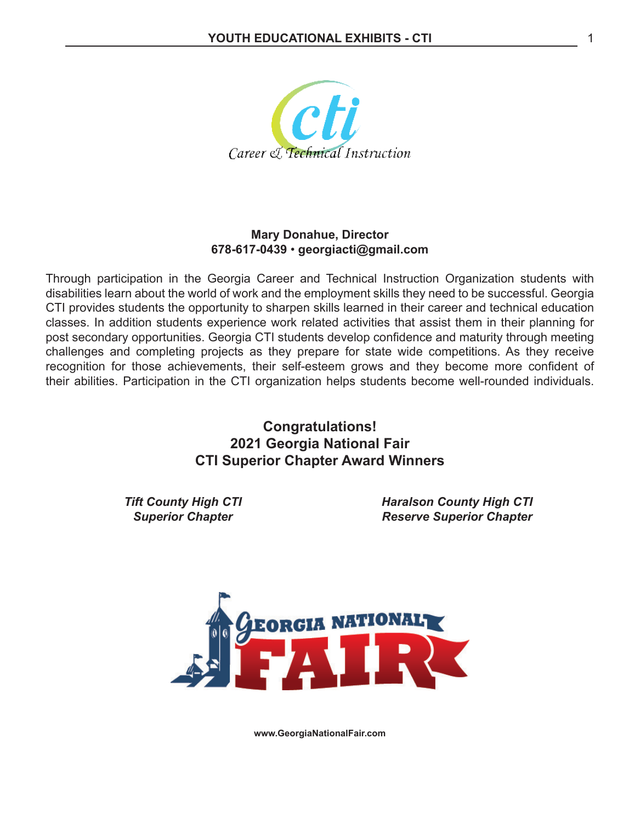

#### **Mary Donahue, Director 678-617-0439** • **georgiacti@gmail.com**

Through participation in the Georgia Career and Technical Instruction Organization students with disabilities learn about the world of work and the employment skills they need to be successful. Georgia CTI provides students the opportunity to sharpen skills learned in their career and technical education classes. In addition students experience work related activities that assist them in their planning for post secondary opportunities. Georgia CTI students develop confidence and maturity through meeting challenges and completing projects as they prepare for state wide competitions. As they receive recognition for those achievements, their self-esteem grows and they become more confident of their abilities. Participation in the CTI organization helps students become well-rounded individuals.

> **Congratulations! 2021 Georgia National Fair CTI Superior Chapter Award Winners**

*Tift County High CTI Superior Chapter*

*Haralson County High CTI Reserve Superior Chapter*



**www.GeorgiaNationalFair.com**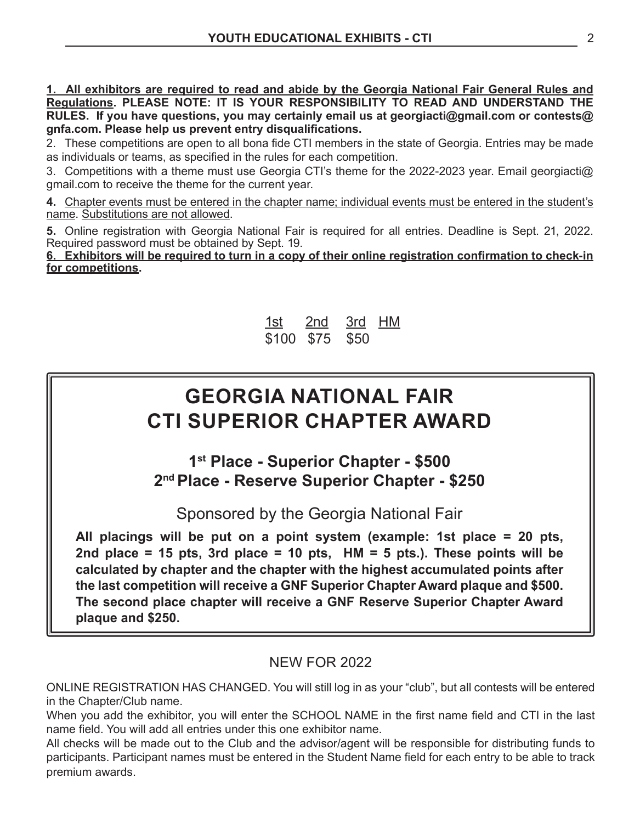**1. All exhibitors are required to read and abide by the Georgia National Fair General Rules and Regulations. PLEASE NOTE: IT IS YOUR RESPONSIBILITY TO READ AND UNDERSTAND THE RULES. If you have questions, you may certainly email us at georgiacti@gmail.com or contests@ gnfa.com. Please help us prevent entry disqualifications.**

2. These competitions are open to all bona fide CTI members in the state of Georgia. Entries may be made as individuals or teams, as specified in the rules for each competition.

3. Competitions with a theme must use Georgia CTI's theme for the 2022-2023 year. Email georgiacti@ gmail.com to receive the theme for the current year.

**4.** Chapter events must be entered in the chapter name; individual events must be entered in the student's name. Substitutions are not allowed.

**5.** Online registration with Georgia National Fair is required for all entries. Deadline is Sept. 21, 2022. Required password must be obtained by Sept. 19.

**6. Exhibitors will be required to turn in a copy of their online registration confirmation to check-in for competitions.**



# **GEORGIA NATIONAL FAIR CTI SUPERIOR CHAPTER AWARD**

**1st Place - Superior Chapter - \$500 2nd Place - Reserve Superior Chapter - \$250**

Sponsored by the Georgia National Fair

**All placings will be put on a point system (example: 1st place = 20 pts, 2nd place = 15 pts, 3rd place = 10 pts, HM = 5 pts.). These points will be calculated by chapter and the chapter with the highest accumulated points after the last competition will receive a GNF Superior Chapter Award plaque and \$500. The second place chapter will receive a GNF Reserve Superior Chapter Award plaque and \$250.**

### NEW FOR 2022

ONLINE REGISTRATION HAS CHANGED. You will still log in as your "club", but all contests will be entered in the Chapter/Club name.

When you add the exhibitor, you will enter the SCHOOL NAME in the first name field and CTI in the last name field. You will add all entries under this one exhibitor name.

All checks will be made out to the Club and the advisor/agent will be responsible for distributing funds to participants. Participant names must be entered in the Student Name field for each entry to be able to track premium awards.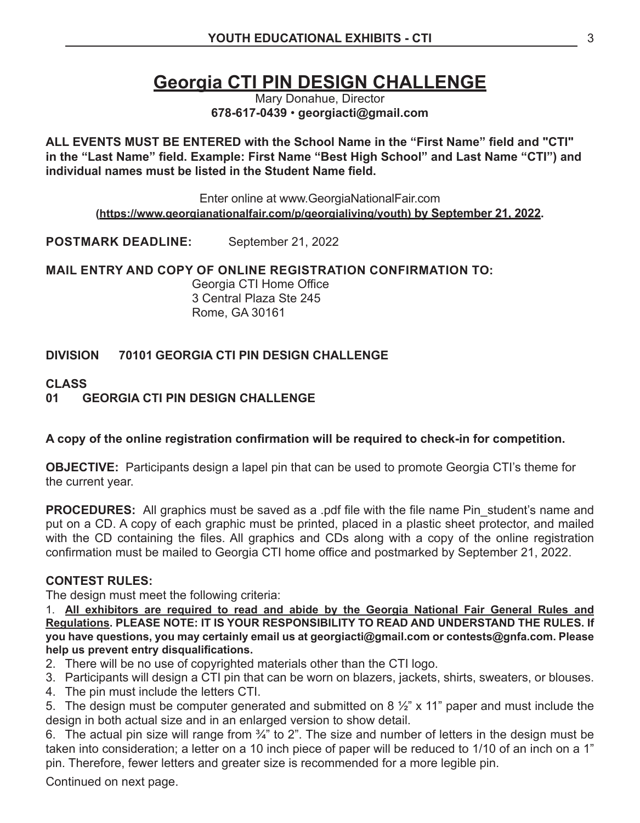## **Georgia CTI PIN DESIGN CHALLENGE**

Mary Donahue, Director **678-617-0439** • **georgiacti@gmail.com**

**ALL EVENTS MUST BE ENTERED with the School Name in the "First Name" field and "CTI" in the "Last Name" field. Example: First Name "Best High School" and Last Name "CTI") and individual names must be listed in the Student Name field.**

Enter online at www.GeorgiaNationalFair.com **(https://www.georgianationalfair.com/p/georgialiving/youth) by September 21, 2022.**

**POSTMARK DEADLINE:** September 21, 2022

**MAIL ENTRY AND COPY OF ONLINE REGISTRATION CONFIRMATION TO:**

Georgia CTI Home Office 3 Central Plaza Ste 245 Rome, GA 30161

#### **DIVISION 70101 GEORGIA CTI PIN DESIGN CHALLENGE**

#### **CLASS**

#### **01 GEORGIA CTI PIN DESIGN CHALLENGE**

#### **A copy of the online registration confirmation will be required to check-in for competition.**

**OBJECTIVE:** Participants design a lapel pin that can be used to promote Georgia CTI's theme for the current year.

**PROCEDURES:** All graphics must be saved as a .pdf file with the file name Pin\_student's name and put on a CD. A copy of each graphic must be printed, placed in a plastic sheet protector, and mailed with the CD containing the files. All graphics and CDs along with a copy of the online registration confirmation must be mailed to Georgia CTI home office and postmarked by September 21, 2022.

#### **CONTEST RULES:**

The design must meet the following criteria:

1. **All exhibitors are required to read and abide by the Georgia National Fair General Rules and Regulations. PLEASE NOTE: IT IS YOUR RESPONSIBILITY TO READ AND UNDERSTAND THE RULES. If you have questions, you may certainly email us at georgiacti@gmail.com or contests@gnfa.com. Please help us prevent entry disqualifications.**

- 2. There will be no use of copyrighted materials other than the CTI logo.
- 3. Participants will design a CTI pin that can be worn on blazers, jackets, shirts, sweaters, or blouses.
- 4. The pin must include the letters CTI.

5. The design must be computer generated and submitted on 8  $\frac{1}{2}$ " x 11" paper and must include the design in both actual size and in an enlarged version to show detail.

6. The actual pin size will range from ¾" to 2". The size and number of letters in the design must be taken into consideration; a letter on a 10 inch piece of paper will be reduced to 1/10 of an inch on a 1" pin. Therefore, fewer letters and greater size is recommended for a more legible pin.

Continued on next page.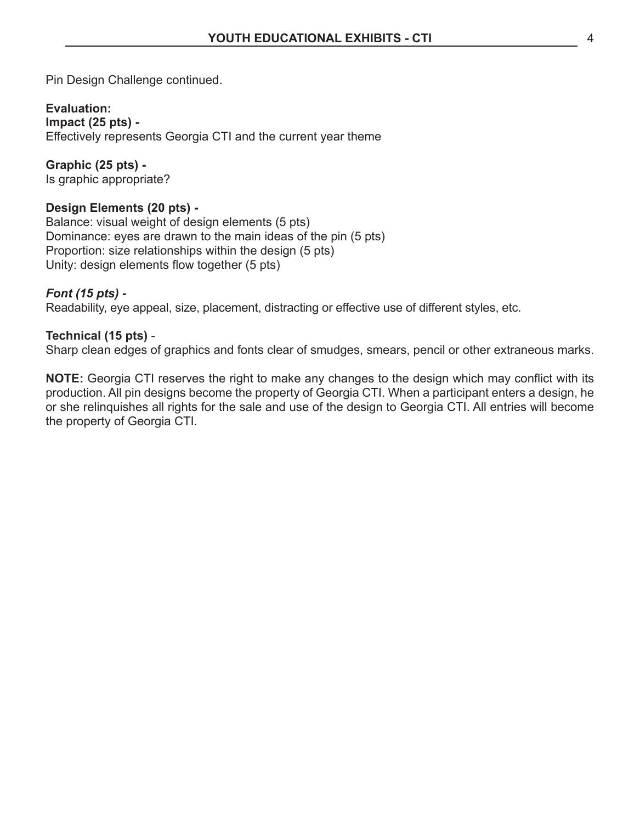Pin Design Challenge continued.

#### **Evaluation:**

**Impact (25 pts) -** Effectively represents Georgia CTI and the current year theme

**Graphic (25 pts) -** Is graphic appropriate?

#### **Design Elements (20 pts) -**

Balance: visual weight of design elements (5 pts) Dominance: eyes are drawn to the main ideas of the pin (5 pts) Proportion: size relationships within the design (5 pts) Unity: design elements flow together (5 pts)

#### *Font (15 pts) -*

Readability, eye appeal, size, placement, distracting or effective use of different styles, etc.

#### **Technical (15 pts)** -

Sharp clean edges of graphics and fonts clear of smudges, smears, pencil or other extraneous marks.

**NOTE:** Georgia CTI reserves the right to make any changes to the design which may conflict with its production. All pin designs become the property of Georgia CTI. When a participant enters a design, he or she relinquishes all rights for the sale and use of the design to Georgia CTI. All entries will become the property of Georgia CTI.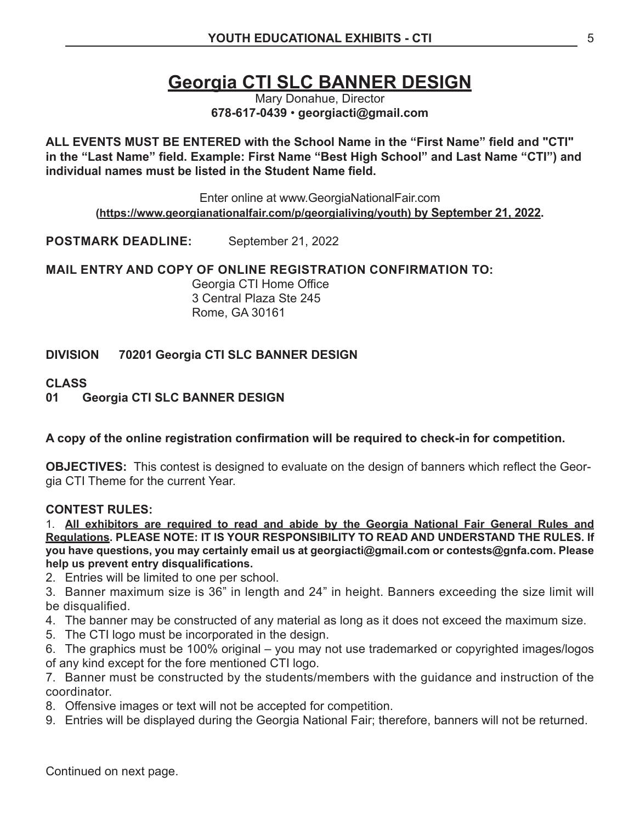## **Georgia CTI SLC BANNER DESIGN**

Mary Donahue, Director **678-617-0439** • **georgiacti@gmail.com**

**ALL EVENTS MUST BE ENTERED with the School Name in the "First Name" field and "CTI" in the "Last Name" field. Example: First Name "Best High School" and Last Name "CTI") and individual names must be listed in the Student Name field.**

Enter online at www.GeorgiaNationalFair.com **(https://www.georgianationalfair.com/p/georgialiving/youth) by September 21, 2022.**

**POSTMARK DEADLINE:** September 21, 2022

**MAIL ENTRY AND COPY OF ONLINE REGISTRATION CONFIRMATION TO:**

Georgia CTI Home Office 3 Central Plaza Ste 245 Rome, GA 30161

#### **DIVISION 70201 Georgia CTI SLC BANNER DESIGN**

#### **CLASS**

#### **01 Georgia CTI SLC BANNER DESIGN**

#### **A copy of the online registration confirmation will be required to check-in for competition.**

**OBJECTIVES:** This contest is designed to evaluate on the design of banners which reflect the Georgia CTI Theme for the current Year.

#### **CONTEST RULES:**

1. **All exhibitors are required to read and abide by the Georgia National Fair General Rules and Regulations. PLEASE NOTE: IT IS YOUR RESPONSIBILITY TO READ AND UNDERSTAND THE RULES. If you have questions, you may certainly email us at georgiacti@gmail.com or contests@gnfa.com. Please help us prevent entry disqualifications.**

- 2. Entries will be limited to one per school.
- 3. Banner maximum size is 36" in length and 24" in height. Banners exceeding the size limit will be disqualified.
- 4. The banner may be constructed of any material as long as it does not exceed the maximum size.
- 5. The CTI logo must be incorporated in the design.
- 6. The graphics must be 100% original you may not use trademarked or copyrighted images/logos of any kind except for the fore mentioned CTI logo.

7. Banner must be constructed by the students/members with the guidance and instruction of the coordinator.

- 8. Offensive images or text will not be accepted for competition.
- 9. Entries will be displayed during the Georgia National Fair; therefore, banners will not be returned.

Continued on next page.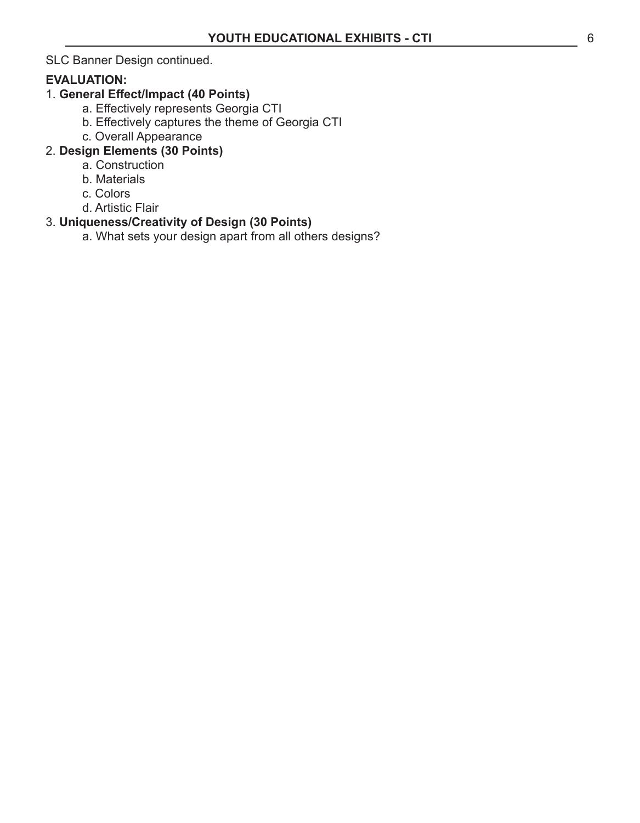SLC Banner Design continued.

#### **EVALUATION:**

### 1. **General Effect/Impact (40 Points)**

- a. Effectively represents Georgia CTI
- b. Effectively captures the theme of Georgia CTI
- c. Overall Appearance

### 2. **Design Elements (30 Points)**

- a. Construction
- b. Materials
- c. Colors
- d. Artistic Flair

### 3. **Uniqueness/Creativity of Design (30 Points)**

a. What sets your design apart from all others designs?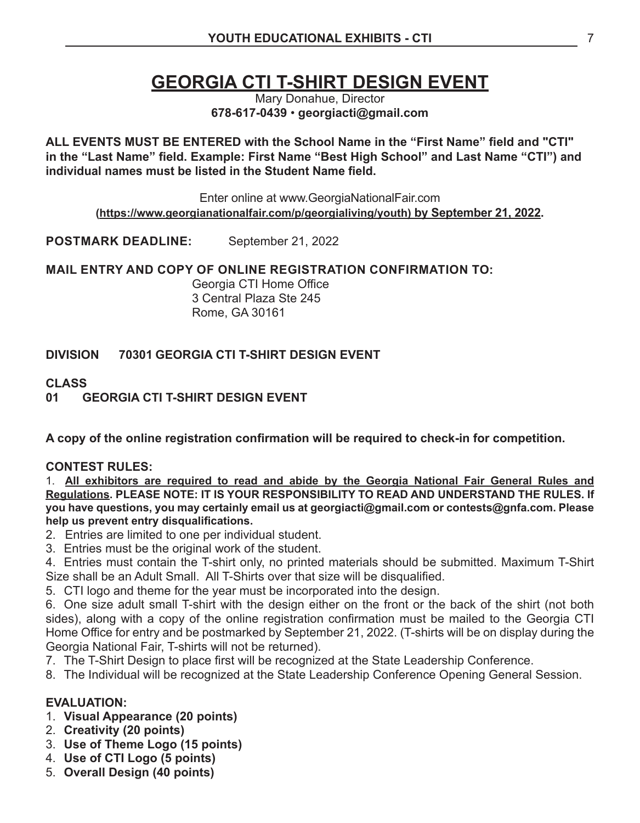## **GEORGIA CTI T-SHIRT DESIGN EVENT**

Mary Donahue, Director **678-617-0439** • **georgiacti@gmail.com**

**ALL EVENTS MUST BE ENTERED with the School Name in the "First Name" field and "CTI" in the "Last Name" field. Example: First Name "Best High School" and Last Name "CTI") and individual names must be listed in the Student Name field.**

Enter online at www.GeorgiaNationalFair.com **(https://www.georgianationalfair.com/p/georgialiving/youth) by September 21, 2022.**

**POSTMARK DEADLINE:** September 21, 2022

**MAIL ENTRY AND COPY OF ONLINE REGISTRATION CONFIRMATION TO:** 

Georgia CTI Home Office 3 Central Plaza Ste 245 Rome, GA 30161

#### **DIVISION 70301 GEORGIA CTI T-SHIRT DESIGN EVENT**

# **CLASS**

#### **01 GEORGIA CTI T-SHIRT DESIGN EVENT**

**A copy of the online registration confirmation will be required to check-in for competition.** 

#### **CONTEST RULES:**

1. **All exhibitors are required to read and abide by the Georgia National Fair General Rules and Regulations. PLEASE NOTE: IT IS YOUR RESPONSIBILITY TO READ AND UNDERSTAND THE RULES. If you have questions, you may certainly email us at georgiacti@gmail.com or contests@gnfa.com. Please help us prevent entry disqualifications.**

- 2. Entries are limited to one per individual student.
- 3. Entries must be the original work of the student.

4. Entries must contain the T-shirt only, no printed materials should be submitted. Maximum T-Shirt Size shall be an Adult Small. All T-Shirts over that size will be disqualified.

5. CTI logo and theme for the year must be incorporated into the design.

6. One size adult small T-shirt with the design either on the front or the back of the shirt (not both sides), along with a copy of the online registration confirmation must be mailed to the Georgia CTI Home Office for entry and be postmarked by September 21, 2022. (T-shirts will be on display during the Georgia National Fair, T-shirts will not be returned).

- 7. The T-Shirt Design to place first will be recognized at the State Leadership Conference.
- 8. The Individual will be recognized at the State Leadership Conference Opening General Session.

#### **EVALUATION:**

- 1. **Visual Appearance (20 points)**
- 2. **Creativity (20 points)**
- 3. **Use of Theme Logo (15 points)**
- 4. **Use of CTI Logo (5 points)**
- 5. **Overall Design (40 points)**